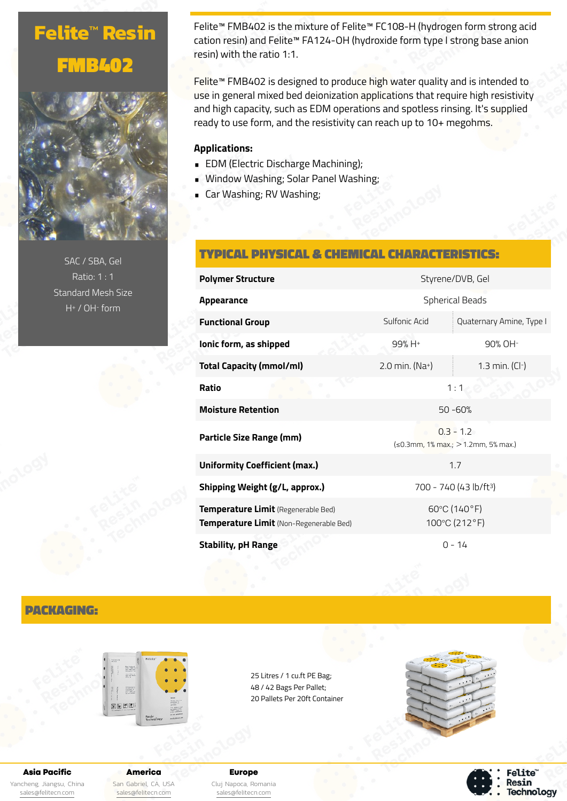# **Felite™ Resin** FMB402



SAC / SBA, Gel Ratio: 1 : 1 Standard Mesh Size H+ / OH- form

Felite™ FMB402 is the mixture of Felite™ FC108-H (hydrogen form strong acid cation resin) and Felite™ FA124-OH (hydroxide form type I strong base anion resin) with the ratio 1:1.

Felite™ FMB402 is designed to produce high water quality and is intended to use in general mixed bed deionization applications that require high resistivity and high capacity, such as EDM operations and spotless rinsing. It's supplied ready to use form, and the resistivity can reach up to 10+ megohms.

## **Applications:**

- EDM (Electric Discharge Machining);
- Window Washing; Solar Panel Washing;
- Car Washing; RV Washing;

## TYPICAL PHYSICAL & CHEMICAL CHARACTERISTICS:

| <b>Polymer Structure</b>                                                       | Styrene/DVB, Gel                                         |                          |
|--------------------------------------------------------------------------------|----------------------------------------------------------|--------------------------|
| Appearance                                                                     | <b>Spherical Beads</b>                                   |                          |
| <b>Functional Group</b>                                                        | Sulfonic Acid                                            | Quaternary Amine, Type I |
| lonic form, as shipped                                                         | $99% H +$                                                | 90% OH-                  |
| Total Capacity (mmol/ml)                                                       | 2.0 min. (Na+)                                           | 1.3 min. $(Cl-)$         |
| Ratio                                                                          | 1:1                                                      |                          |
| <b>Moisture Retention</b>                                                      | $50 - 60%$                                               |                          |
| Particle Size Range (mm)                                                       | $0.3 - 1.2$<br>$\leq 0.3$ mm, 1% max.; > 1.2mm, 5% max.) |                          |
| <b>Uniformity Coefficient (max.)</b>                                           | 1.7                                                      |                          |
| Shipping Weight (g/L, approx.)                                                 | 700 - 740 (43 lb/ft <sup>3</sup> )                       |                          |
| Temperature Limit (Regenerable Bed)<br>Temperature Limit (Non-Regenerable Bed) | 60°C (140°F)<br>100°C (212°F)                            |                          |
| <b>Stability, pH Range</b>                                                     | $0 - 14$                                                 |                          |

## PACKAGING:



25 Litres / 1 cu.ft PE Bag; 48 / 42 Bags Per Pallet; 20 Pallets Per 20ft Container



#### Asia Pacific

Yancheng, Jiangsu, China [sales@felitecn.com](mailto:sales@felitecn.com)

America San Gabriel, CA, USA [sales@felitecn.com](mailto:sales@felitecn.com)

Europe Cluj Napoca, Romania [sales@felitecn.com](mailto:sales@felitecn.com)